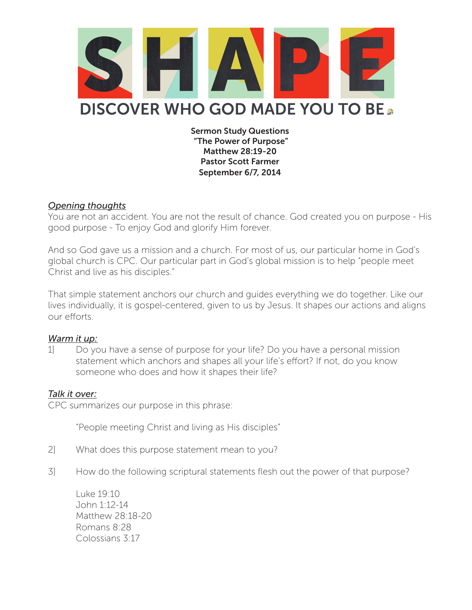

Sermon Study Questions "The Power of Purpose" Matthew 28:19-20 Pastor Scott Farmer September 6/7, 2014

## *Opening thoughts*

You are not an accident. You are not the result of chance. God created you on purpose - His good purpose - To enjoy God and glorify Him forever.

And so God gave us a mission and a church. For most of us, our particular home in God's global church is CPC. Our particular part in God's global mission is to help "people meet Christ and live as his disciples."

That simple statement anchors our church and guides everything we do together. Like our lives individually, it is gospel-centered, given to us by Jesus. It shapes our actions and aligns our efforts.

## *Warm it up:*

1] Do you have a sense of purpose for your life? Do you have a personal mission statement which anchors and shapes all your life's effort? If not, do you know someone who does and how it shapes their life?

## *Talk it over:*

CPC summarizes our purpose in this phrase:

"People meeting Christ and living as His disciples"

- 2] What does this purpose statement mean to you?
- 3] How do the following scriptural statements flesh out the power of that purpose?

Luke 19:10 John 1:12-14 Matthew 28:18-20 Romans 8:28 Colossians 3:17